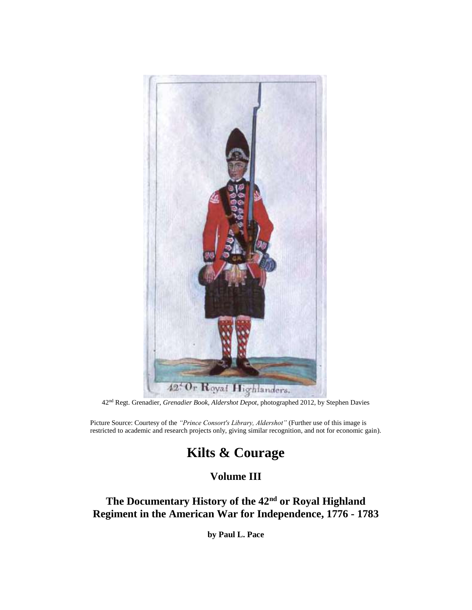

42nd Regt. Grenadier, *Grenadier Book, Aldershot Depot*, photographed 2012, by Stephen Davies

Picture Source: Courtesy of the *"Prince Consort's Library, Aldershot"* (Further use of this image is restricted to academic and research projects only, giving similar recognition, and not for economic gain).

# **Kilts & Courage**

# **Volume III**

# **The Documentary History of the 42nd or Royal Highland Regiment in the American War for Independence, 1776 - 1783**

**by Paul L. Pace**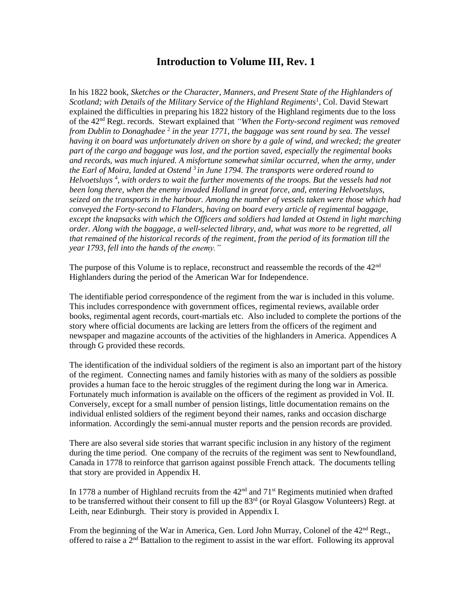## **Introduction to Volume III, Rev. 1**

In his 1822 book, *Sketches or the Character, Manners, and Present State of the Highlanders of*  Scotland; with Details of the Military Service of the Highland Regiments<sup>1</sup>, Col. David Stewart explained the difficulties in preparing his 1822 history of the Highland regiments due to the loss of the 42nd Regt. records. Stewart explained that *"When the Forty-second regiment was removed*  from Dublin to Donaghadee<sup>2</sup> in the year 1771, the baggage was sent round by sea. The vessel *having it on board was unfortunately driven on shore by a gale of wind, and wrecked; the greater part of the cargo and baggage was lost, and the portion saved, especially the regimental books and records, was much injured. A misfortune somewhat similar occurred, when the army, under the Earl of Moira, landed at Ostend* <sup>3</sup>*in June 1794. The transports were ordered round to*  Helvoetsluys<sup>4</sup>, with orders to wait the further movements of the troops. But the vessels had not *been long there, when the enemy invaded Holland in great force, and, entering Helvoetsluys, seized on the transports in the harbour. Among the number of vessels taken were those which had conveyed the Forty-second to Flanders, having on board every article of regimental baggage, except the knapsacks with which the Officers and soldiers had landed at Ostend in light marching order. Along with the baggage, a well-selected library, and, what was more to be regretted, all that remained of the historical records of the regiment, from the period of its formation till the year 1793, fell into the hands of the enemy."*

The purpose of this Volume is to replace, reconstruct and reassemble the records of the  $42<sup>nd</sup>$ Highlanders during the period of the American War for Independence.

The identifiable period correspondence of the regiment from the war is included in this volume. This includes correspondence with government offices, regimental reviews, available order books, regimental agent records, court-martials etc. Also included to complete the portions of the story where official documents are lacking are letters from the officers of the regiment and newspaper and magazine accounts of the activities of the highlanders in America. Appendices A through G provided these records.

The identification of the individual soldiers of the regiment is also an important part of the history of the regiment. Connecting names and family histories with as many of the soldiers as possible provides a human face to the heroic struggles of the regiment during the long war in America. Fortunately much information is available on the officers of the regiment as provided in Vol. II. Conversely, except for a small number of pension listings, little documentation remains on the individual enlisted soldiers of the regiment beyond their names, ranks and occasion discharge information. Accordingly the semi-annual muster reports and the pension records are provided.

There are also several side stories that warrant specific inclusion in any history of the regiment during the time period. One company of the recruits of the regiment was sent to Newfoundland, Canada in 1778 to reinforce that garrison against possible French attack. The documents telling that story are provided in Appendix H.

In 1778 a number of Highland recruits from the  $42<sup>nd</sup>$  and  $71<sup>st</sup>$  Regiments mutinied when drafted to be transferred without their consent to fill up the  $83<sup>rd</sup>$  (or Royal Glasgow Volunteers) Regt. at Leith, near Edinburgh. Their story is provided in Appendix I.

From the beginning of the War in America, Gen. Lord John Murray, Colonel of the 42<sup>nd</sup> Regt., offered to raise a 2nd Battalion to the regiment to assist in the war effort. Following its approval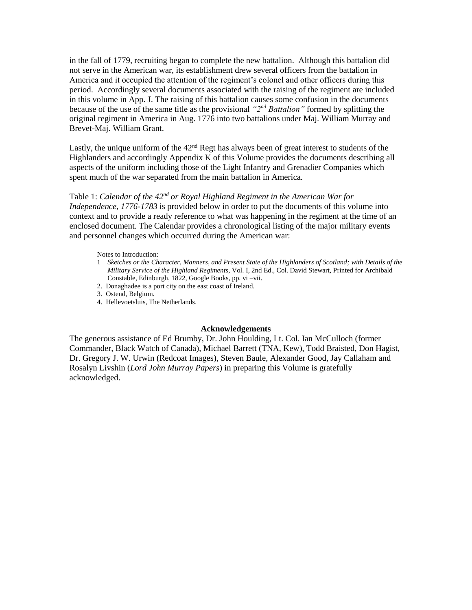in the fall of 1779, recruiting began to complete the new battalion. Although this battalion did not serve in the American war, its establishment drew several officers from the battalion in America and it occupied the attention of the regiment's colonel and other officers during this period. Accordingly several documents associated with the raising of the regiment are included in this volume in App. J. The raising of this battalion causes some confusion in the documents because of the use of the same title as the provisional *"2nd Battalion"* formed by splitting the original regiment in America in Aug. 1776 into two battalions under Maj. William Murray and Brevet-Maj. William Grant.

Lastly, the unique uniform of the  $42<sup>nd</sup>$  Regt has always been of great interest to students of the Highlanders and accordingly Appendix K of this Volume provides the documents describing all aspects of the uniform including those of the Light Infantry and Grenadier Companies which spent much of the war separated from the main battalion in America.

### Table 1: *Calendar of the 42nd or Royal Highland Regiment in the American War for Independence, 1776-1783* is provided below in order to put the documents of this volume into context and to provide a ready reference to what was happening in the regiment at the time of an enclosed document. The Calendar provides a chronological listing of the major military events

#### Notes to Introduction:

- 1 *Sketches or the Character, Manners, and Present State of the Highlanders of Scotland; with Details of the Military Service of the Highland Regiments*, Vol. I, 2nd Ed., Col. David Stewart, Printed for Archibald Constable, Edinburgh, 1822, Google Books, pp. vi –vii.
- 2.Donaghadee is a port city on the east coast of Ireland.

and personnel changes which occurred during the American war:

- 3. Ostend, Belgium.
- 4.Hellevoetsluis, The Netherlands.

#### **Acknowledgements**

The generous assistance of Ed Brumby, Dr. John Houlding, Lt. Col. Ian McCulloch (former Commander, Black Watch of Canada), Michael Barrett (TNA, Kew), Todd Braisted, Don Hagist, Dr. Gregory J. W. Urwin (Redcoat Images), Steven Baule, Alexander Good, Jay Callaham and Rosalyn Livshin (*Lord John Murray Papers*) in preparing this Volume is gratefully acknowledged.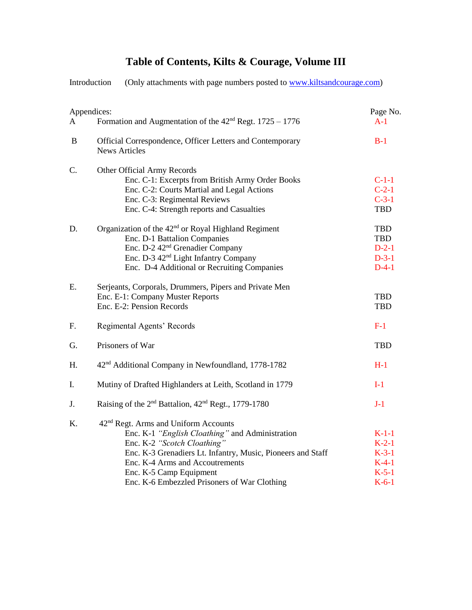## **Table of Contents, Kilts & Courage, Volume III**

Introduction (Only attachments with page numbers posted to [www.kiltsandcourage.com\)](http://www.kiltsandcourage.com/) Appendices: Page No. A Formation and Augmentation of the  $42<sup>nd</sup>$  Regt. 1725 – 1776 A-1 B Official Correspondence, Officer Letters and Contemporary B-1 News Articles C. Other Official Army Records Enc. C-1: Excerpts from British Army Order Books C-1-1 Enc. C-2: Courts Martial and Legal Actions C-2-1 Enc. C-3: Regimental Reviews C-3-1 Enc. C-4: Strength reports and Casualties TBD D. Organization of the 42<sup>nd</sup> or Royal Highland Regiment TBD Enc. D-1 Battalion Companies TBD Enc. D-2 42nd Grenadier Company D-2-1 Enc. D-3 42<sup>nd</sup> Light Infantry Company D-3-1 Enc. D-4 Additional or Recruiting Companies D-4-1 E. Serjeants, Corporals, Drummers, Pipers and Private Men Enc. E-1: Company Muster Reports TBD Enc. E-2: Pension Records TBD F. Regimental Agents' Records F-1 G. Prisoners of War TBD H. 42<sup>nd</sup> Additional Company in Newfoundland, 1778-1782 H-1 I. Mutiny of Drafted Highlanders at Leith, Scotland in 1779 I-1 J. Raising of the  $2<sup>nd</sup>$  Battalion,  $42<sup>nd</sup>$  Regt., 1779-1780 J-1 K. 42<sup>nd</sup> Regt. Arms and Uniform Accounts Enc. K-1 *"English Cloathing"* and Administration K-1-1 Enc. K-2 *"Scotch Cloathing"* K-2-1 Enc. K-3 Grenadiers Lt. Infantry, Music, Pioneers and Staff K-3-1 Enc. K-4 Arms and Accoutrements K-4-1 Enc. K-5 Camp Equipment K-5-1 Enc. K-6 Embezzled Prisoners of War Clothing K-6-1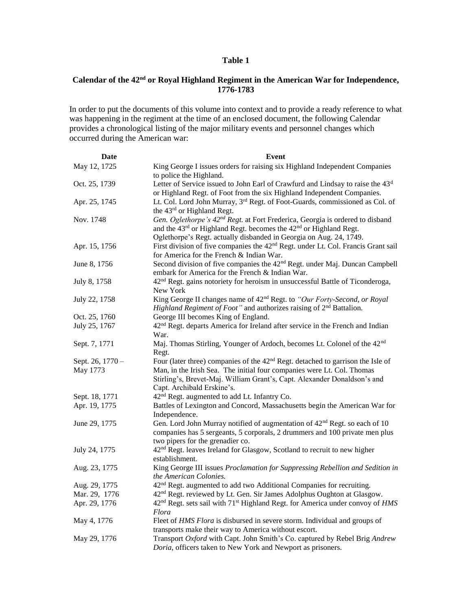### **Table 1**

## **Calendar of the 42nd or Royal Highland Regiment in the American War for Independence, 1776-1783**

In order to put the documents of this volume into context and to provide a ready reference to what was happening in the regiment at the time of an enclosed document, the following Calendar provides a chronological listing of the major military events and personnel changes which occurred during the American war:

| Date                         | Event                                                                                                                                                                                                                                                                           |
|------------------------------|---------------------------------------------------------------------------------------------------------------------------------------------------------------------------------------------------------------------------------------------------------------------------------|
| May 12, 1725                 | King George I issues orders for raising six Highland Independent Companies<br>to police the Highland.                                                                                                                                                                           |
| Oct. 25, 1739                | Letter of Service issued to John Earl of Crawfurd and Lindsay to raise the 43 <sup>d</sup><br>or Highland Regt. of Foot from the six Highland Independent Companies.                                                                                                            |
| Apr. 25, 1745                | Lt. Col. Lord John Murray, 3 <sup>rd</sup> Regt. of Foot-Guards, commissioned as Col. of<br>the 43rd or Highland Regt.                                                                                                                                                          |
| Nov. 1748                    | Gen. Oglethorpe's 42 <sup>nd</sup> Regt. at Fort Frederica, Georgia is ordered to disband<br>and the 43rd or Highland Regt. becomes the 42 <sup>nd</sup> or Highland Regt.<br>Oglethorpe's Regt. actually disbanded in Georgia on Aug. 24, 1749.                                |
| Apr. 15, 1756                | First division of five companies the 42 <sup>nd</sup> Regt. under Lt. Col. Francis Grant sail<br>for America for the French & Indian War.                                                                                                                                       |
| June 8, 1756                 | Second division of five companies the 42 <sup>nd</sup> Regt. under Maj. Duncan Campbell<br>embark for America for the French & Indian War.                                                                                                                                      |
| July 8, 1758                 | 42 <sup>nd</sup> Regt. gains notoriety for heroism in unsuccessful Battle of Ticonderoga,<br>New York                                                                                                                                                                           |
| July 22, 1758                | King George II changes name of 42 <sup>nd</sup> Regt. to "Our Forty-Second, or Royal<br><i>Highland Regiment of Foot</i> " and authorizes raising of $2nd$ Battalion.                                                                                                           |
| Oct. 25, 1760                | George III becomes King of England.                                                                                                                                                                                                                                             |
| July 25, 1767                | 42 <sup>nd</sup> Regt. departs America for Ireland after service in the French and Indian<br>War.                                                                                                                                                                               |
| Sept. 7, 1771                | Maj. Thomas Stirling, Younger of Ardoch, becomes Lt. Colonel of the 42 <sup>nd</sup><br>Regt.                                                                                                                                                                                   |
| Sept. 26, 1770 -<br>May 1773 | Four (later three) companies of the 42 <sup>nd</sup> Regt. detached to garrison the Isle of<br>Man, in the Irish Sea. The initial four companies were Lt. Col. Thomas<br>Stirling's, Brevet-Maj. William Grant's, Capt. Alexander Donaldson's and<br>Capt. Archibald Erskine's. |
| Sept. 18, 1771               | 42 <sup>nd</sup> Regt. augmented to add Lt. Infantry Co.                                                                                                                                                                                                                        |
| Apr. 19, 1775                | Battles of Lexington and Concord, Massachusetts begin the American War for<br>Independence.                                                                                                                                                                                     |
| June 29, 1775                | Gen. Lord John Murray notified of augmentation of 42 <sup>nd</sup> Regt. so each of 10<br>companies has 5 sergeants, 5 corporals, 2 drummers and 100 private men plus<br>two pipers for the grenadier co.                                                                       |
| July 24, 1775                | 42 <sup>nd</sup> Regt. leaves Ireland for Glasgow, Scotland to recruit to new higher<br>establishment.                                                                                                                                                                          |
| Aug. 23, 1775                | King George III issues Proclamation for Suppressing Rebellion and Sedition in<br>the American Colonies.                                                                                                                                                                         |
| Aug. 29, 1775                | 42 <sup>nd</sup> Regt. augmented to add two Additional Companies for recruiting.                                                                                                                                                                                                |
| Mar. 29, 1776                | 42 <sup>nd</sup> Regt. reviewed by Lt. Gen. Sir James Adolphus Oughton at Glasgow.                                                                                                                                                                                              |
| Apr. 29, 1776                | 42 <sup>nd</sup> Regt. sets sail with 71 <sup>st</sup> Highland Regt. for America under convoy of HMS<br>Flora                                                                                                                                                                  |
| May 4, 1776                  | Fleet of HMS Flora is disbursed in severe storm. Individual and groups of<br>transports make their way to America without escort.                                                                                                                                               |
| May 29, 1776                 | Transport Oxford with Capt. John Smith's Co. captured by Rebel Brig Andrew<br>Doria, officers taken to New York and Newport as prisoners.                                                                                                                                       |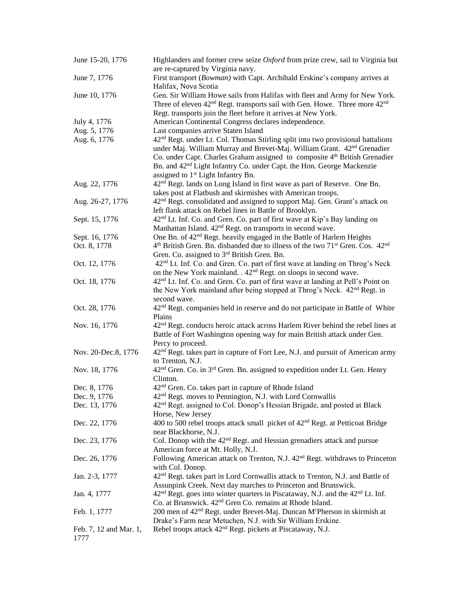| June 15-20, 1776       | Highlanders and former crew seize $Oxford$ from prize crew, sail to Virginia but<br>are re-captured by Virginia navy.                                                                                                                                                                                                                                                                                               |
|------------------------|---------------------------------------------------------------------------------------------------------------------------------------------------------------------------------------------------------------------------------------------------------------------------------------------------------------------------------------------------------------------------------------------------------------------|
| June 7, 1776           | First transport (Bowman) with Capt. Archibald Erskine's company arrives at                                                                                                                                                                                                                                                                                                                                          |
|                        | Halifax, Nova Scotia                                                                                                                                                                                                                                                                                                                                                                                                |
| June 10, 1776          | Gen. Sir William Howe sails from Halifax with fleet and Army for New York.                                                                                                                                                                                                                                                                                                                                          |
|                        | Three of eleven 42 <sup>nd</sup> Regt. transports sail with Gen. Howe. Three more 42 <sup>nd</sup>                                                                                                                                                                                                                                                                                                                  |
|                        | Regt. transports join the fleet before it arrives at New York.                                                                                                                                                                                                                                                                                                                                                      |
| July 4, 1776           | American Continental Congress declares independence.                                                                                                                                                                                                                                                                                                                                                                |
| Aug. 5, 1776           | Last companies arrive Staten Island                                                                                                                                                                                                                                                                                                                                                                                 |
| Aug. 6, 1776           | 42 <sup>nd</sup> Regt. under Lt. Col. Thomas Stirling split into two provisional battalions<br>under Maj. William Murray and Brevet-Maj. William Grant. 42 <sup>nd</sup> Grenadier<br>Co. under Capt. Charles Graham assigned to composite 4 <sup>th</sup> British Grenadier<br>Bn. and 42 <sup>nd</sup> Light Infantry Co. under Capt. the Hon. George Mackenzie<br>assigned to 1 <sup>st</sup> Light Infantry Bn. |
| Aug. 22, 1776          | 42 <sup>nd</sup> Regt. lands on Long Island in first wave as part of Reserve. One Bn.                                                                                                                                                                                                                                                                                                                               |
|                        | takes post at Flatbush and skirmishes with American troops.                                                                                                                                                                                                                                                                                                                                                         |
| Aug. 26-27, 1776       | 42 <sup>nd</sup> Regt. consolidated and assigned to support Maj. Gen. Grant's attack on                                                                                                                                                                                                                                                                                                                             |
|                        | left flank attack on Rebel lines in Battle of Brooklyn.                                                                                                                                                                                                                                                                                                                                                             |
| Sept. 15, 1776         | 42 <sup>nd</sup> Lt. Inf. Co. and Gren. Co. part of first wave at Kip's Bay landing on                                                                                                                                                                                                                                                                                                                              |
|                        | Manhattan Island. 42 <sup>nd</sup> Regt. on transports in second wave.                                                                                                                                                                                                                                                                                                                                              |
| Sept. 16, 1776         | One Bn. of 42 <sup>nd</sup> Regt. heavily engaged in the Battle of Harlem Heights                                                                                                                                                                                                                                                                                                                                   |
| Oct. 8, 1778           | 4 <sup>th</sup> British Gren. Bn. disbanded due to illness of the two 71 <sup>st</sup> Gren. Cos. 42 <sup>nd</sup>                                                                                                                                                                                                                                                                                                  |
|                        | Gren. Co. assigned to 3 <sup>rd</sup> British Gren. Bn.                                                                                                                                                                                                                                                                                                                                                             |
| Oct. 12, 1776          | 42 <sup>nd</sup> Lt. Inf. Co. and Gren. Co. part of first wave at landing on Throg's Neck                                                                                                                                                                                                                                                                                                                           |
|                        | on the New York mainland. . 42 <sup>nd</sup> Regt. on sloops in second wave.                                                                                                                                                                                                                                                                                                                                        |
| Oct. 18, 1776          | 42 <sup>nd</sup> Lt. Inf. Co. and Gren. Co. part of first wave at landing at Pell's Point on                                                                                                                                                                                                                                                                                                                        |
|                        | the New York mainland after being stopped at Throg's Neck. 42 <sup>nd</sup> Regt. in                                                                                                                                                                                                                                                                                                                                |
|                        | second wave.                                                                                                                                                                                                                                                                                                                                                                                                        |
|                        |                                                                                                                                                                                                                                                                                                                                                                                                                     |
| Oct. 28, 1776          | 42 <sup>nd</sup> Regt. companies held in reserve and do not participate in Battle of White<br>Plains                                                                                                                                                                                                                                                                                                                |
| Nov. 16, 1776          | 42 <sup>nd</sup> Regt. conducts heroic attack across Harlem River behind the rebel lines at<br>Battle of Fort Washington opening way for main British attack under Gen.                                                                                                                                                                                                                                             |
|                        | Percy to proceed.                                                                                                                                                                                                                                                                                                                                                                                                   |
| Nov. 20-Dec.8, 1776    | 42 <sup>nd</sup> Regt. takes part in capture of Fort Lee, N.J. and pursuit of American army<br>to Trenton, N.J.                                                                                                                                                                                                                                                                                                     |
| Nov. 18, 1776          | 42 <sup>nd</sup> Gren. Co. in 3 <sup>rd</sup> Gren. Bn. assigned to expedition under Lt. Gen. Henry                                                                                                                                                                                                                                                                                                                 |
|                        | Clinton.                                                                                                                                                                                                                                                                                                                                                                                                            |
| Dec. 8, 1776           | 42 <sup>nd</sup> Gren. Co. takes part in capture of Rhode Island                                                                                                                                                                                                                                                                                                                                                    |
| Dec. 9, 1776           | 42 <sup>nd</sup> Regt. moves to Pennington, N.J. with Lord Cornwallis                                                                                                                                                                                                                                                                                                                                               |
| Dec. 13, 1776          | 42 <sup>nd</sup> Regt. assigned to Col. Donop's Hessian Brigade, and posted at Black                                                                                                                                                                                                                                                                                                                                |
|                        | Horse, New Jersey                                                                                                                                                                                                                                                                                                                                                                                                   |
| Dec. 22, 1776          | 400 to 500 rebel troops attack small picket of 42 <sup>nd</sup> Regt. at Petticoat Bridge                                                                                                                                                                                                                                                                                                                           |
|                        | near Blackhorse, N.J.                                                                                                                                                                                                                                                                                                                                                                                               |
| Dec. 23, 1776          | Col. Donop with the $42nd$ Regt. and Hessian grenadiers attack and pursue                                                                                                                                                                                                                                                                                                                                           |
|                        | American force at Mt. Holly, N.J.                                                                                                                                                                                                                                                                                                                                                                                   |
| Dec. 26, 1776          | Following American attack on Trenton, N.J. 42 <sup>nd</sup> Regt. withdraws to Princeton                                                                                                                                                                                                                                                                                                                            |
|                        | with Col. Donop.                                                                                                                                                                                                                                                                                                                                                                                                    |
| Jan. 2-3, 1777         | 42 <sup>nd</sup> Regt. takes part in Lord Cornwallis attack to Trenton, N.J. and Battle of                                                                                                                                                                                                                                                                                                                          |
|                        | Assunpink Creek. Next day marches to Princeton and Brunswick.                                                                                                                                                                                                                                                                                                                                                       |
| Jan. 4, 1777           | $42nd$ Regt. goes into winter quarters in Piscataway, N.J. and the $42nd$ Lt. Inf.                                                                                                                                                                                                                                                                                                                                  |
|                        | Co. at Brunswick. 42 <sup>nd</sup> Gren Co. remains at Rhode Island.                                                                                                                                                                                                                                                                                                                                                |
| Feb. 1, 1777           | 200 men of 42 <sup>nd</sup> Regt. under Brevet-Maj. Duncan M <sup>c</sup> Pherson in skirmish at                                                                                                                                                                                                                                                                                                                    |
|                        | Drake's Farm near Metuchen, N.J. with Sir William Erskine.                                                                                                                                                                                                                                                                                                                                                          |
| Feb. 7, 12 and Mar. 1, | Rebel troops attack 42 <sup>nd</sup> Regt. pickets at Piscataway, N.J.                                                                                                                                                                                                                                                                                                                                              |
| 1777                   |                                                                                                                                                                                                                                                                                                                                                                                                                     |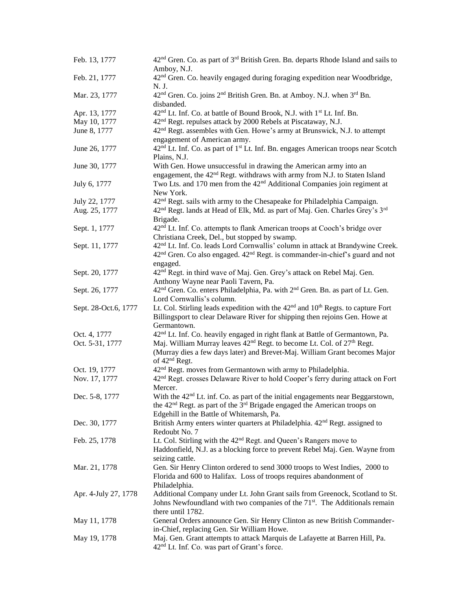| Feb. 13, 1777        | 42 <sup>nd</sup> Gren. Co. as part of 3 <sup>rd</sup> British Gren. Bn. departs Rhode Island and sails to<br>Amboy, N.J. |
|----------------------|--------------------------------------------------------------------------------------------------------------------------|
| Feb. 21, 1777        | 42 <sup>nd</sup> Gren. Co. heavily engaged during foraging expedition near Woodbridge,                                   |
|                      | N. J.                                                                                                                    |
| Mar. 23, 1777        | 42 <sup>nd</sup> Gren. Co. joins 2 <sup>nd</sup> British Gren. Bn. at Amboy. N.J. when 3 <sup>rd</sup> Bn.               |
|                      | disbanded.                                                                                                               |
| Apr. 13, 1777        | 42 <sup>nd</sup> Lt. Inf. Co. at battle of Bound Brook, N.J. with 1 <sup>st</sup> Lt. Inf. Bn.                           |
| May 10, 1777         | 42 <sup>nd</sup> Regt. repulses attack by 2000 Rebels at Piscataway, N.J.                                                |
| June 8, 1777         | 42 <sup>nd</sup> Regt. assembles with Gen. Howe's army at Brunswick, N.J. to attempt                                     |
|                      | engagement of American army.                                                                                             |
| June 26, 1777        | 42 <sup>nd</sup> Lt. Inf. Co. as part of 1 <sup>st</sup> Lt. Inf. Bn. engages American troops near Scotch                |
|                      | Plains, N.J.                                                                                                             |
| June 30, 1777        | With Gen. Howe unsuccessful in drawing the American army into an                                                         |
|                      | engagement, the 42 <sup>nd</sup> Regt. withdraws with army from N.J. to Staten Island                                    |
| July 6, 1777         | Two Lts. and 170 men from the 42 <sup>nd</sup> Additional Companies join regiment at                                     |
|                      | New York.                                                                                                                |
| July 22, 1777        | 42 <sup>nd</sup> Regt. sails with army to the Chesapeake for Philadelphia Campaign.                                      |
| Aug. 25, 1777        | 42 <sup>nd</sup> Regt. lands at Head of Elk, Md. as part of Maj. Gen. Charles Grey's 3 <sup>rd</sup>                     |
|                      | Brigade.                                                                                                                 |
| Sept. 1, 1777        | 42 <sup>nd</sup> Lt. Inf. Co. attempts to flank American troops at Cooch's bridge over                                   |
|                      | Christiana Creek, Del., but stopped by swamp.                                                                            |
| Sept. 11, 1777       | 42 <sup>nd</sup> Lt. Inf. Co. leads Lord Cornwallis' column in attack at Brandywine Creek.                               |
|                      | 42 <sup>nd</sup> Gren. Co also engaged. 42 <sup>nd</sup> Regt. is commander-in-chief's guard and not                     |
|                      | engaged.                                                                                                                 |
| Sept. 20, 1777       | 42 <sup>nd</sup> Regt. in third wave of Maj. Gen. Grey's attack on Rebel Maj. Gen.                                       |
|                      | Anthony Wayne near Paoli Tavern, Pa.                                                                                     |
| Sept. 26, 1777       | 42 <sup>nd</sup> Gren. Co. enters Philadelphia, Pa. with 2 <sup>nd</sup> Gren. Bn. as part of Lt. Gen.                   |
|                      | Lord Cornwallis's column.                                                                                                |
| Sept. 28-Oct.6, 1777 | Lt. Col. Stirling leads expedition with the 42 <sup>nd</sup> and 10 <sup>th</sup> Regts. to capture Fort                 |
|                      | Billingsport to clear Delaware River for shipping then rejoins Gen. Howe at                                              |
|                      | Germantown.                                                                                                              |
| Oct. 4, 1777         | 42 <sup>nd</sup> Lt. Inf. Co. heavily engaged in right flank at Battle of Germantown, Pa.                                |
| Oct. 5-31, 1777      | Maj. William Murray leaves 42 <sup>nd</sup> Regt. to become Lt. Col. of 27 <sup>th</sup> Regt.                           |
|                      | (Murray dies a few days later) and Brevet-Maj. William Grant becomes Major                                               |
|                      | of 42 <sup>nd</sup> Regt.                                                                                                |
| Oct. 19, 1777        | 42 <sup>nd</sup> Regt. moves from Germantown with army to Philadelphia.                                                  |
| Nov. 17, 1777        | 42 <sup>nd</sup> Regt. crosses Delaware River to hold Cooper's ferry during attack on Fort                               |
|                      | Mercer.                                                                                                                  |
| Dec. 5-8, 1777       | With the 42 <sup>nd</sup> Lt. inf. Co. as part of the initial engagements near Beggarstown,                              |
|                      | the 42 <sup>nd</sup> Regt. as part of the 3 <sup>rd</sup> Brigade engaged the American troops on                         |
|                      | Edgehill in the Battle of Whitemarsh, Pa.                                                                                |
| Dec. 30, 1777        | British Army enters winter quarters at Philadelphia. 42 <sup>nd</sup> Regt. assigned to                                  |
|                      | Redoubt No. 7                                                                                                            |
| Feb. 25, 1778        | Lt. Col. Stirling with the 42 <sup>nd</sup> Regt. and Queen's Rangers move to                                            |
|                      | Haddonfield, N.J. as a blocking force to prevent Rebel Maj. Gen. Wayne from                                              |
|                      | seizing cattle.                                                                                                          |
| Mar. 21, 1778        | Gen. Sir Henry Clinton ordered to send 3000 troops to West Indies, 2000 to                                               |
|                      | Florida and 600 to Halifax. Loss of troops requires abandonment of                                                       |
|                      | Philadelphia.                                                                                                            |
| Apr. 4-July 27, 1778 | Additional Company under Lt. John Grant sails from Greenock, Scotland to St.                                             |
|                      | Johns Newfoundland with two companies of the 71 <sup>st</sup> . The Additionals remain                                   |
|                      | there until 1782.                                                                                                        |
| May 11, 1778         | General Orders announce Gen. Sir Henry Clinton as new British Commander-                                                 |
|                      | in-Chief, replacing Gen. Sir William Howe.                                                                               |
| May 19, 1778         | Maj. Gen. Grant attempts to attack Marquis de Lafayette at Barren Hill, Pa.                                              |
|                      | 42 <sup>nd</sup> Lt. Inf. Co. was part of Grant's force.                                                                 |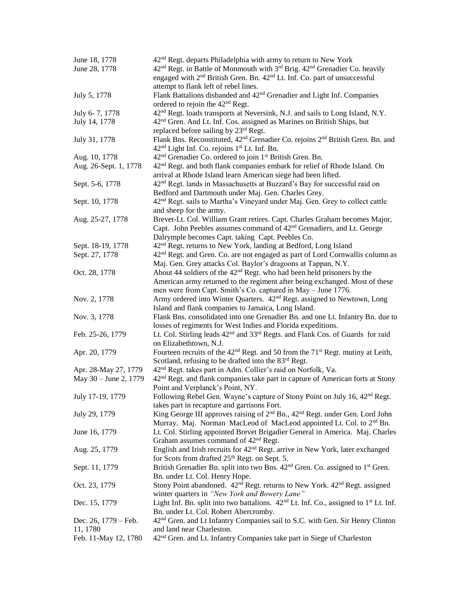| June 18, 1778         | 42 <sup>nd</sup> Regt. departs Philadelphia with army to return to New York                                                                                                    |
|-----------------------|--------------------------------------------------------------------------------------------------------------------------------------------------------------------------------|
| June 28, 1778         | 42 <sup>nd</sup> Regt. in Battle of Monmouth with 3 <sup>rd</sup> Brig. 42 <sup>nd</sup> Grenadier Co. heavily                                                                 |
|                       | engaged with 2 <sup>nd</sup> British Gren. Bn. 42 <sup>nd</sup> Lt. Inf. Co. part of unsuccessful                                                                              |
|                       | attempt to flank left of rebel lines.                                                                                                                                          |
| July 5, 1778          | Flank Battalions disbanded and 42 <sup>nd</sup> Grenadier and Light Inf. Companies                                                                                             |
|                       | ordered to rejoin the 42 <sup>nd</sup> Regt.                                                                                                                                   |
| July 6-7, 1778        | 42 <sup>nd</sup> Regt. loads transports at Neversink, N.J. and sails to Long Island, N.Y.                                                                                      |
| July 14, 1778         | 42 <sup>nd</sup> Gren. And Lt. Inf. Cos. assigned as Marines on British Ships, but                                                                                             |
|                       | replaced before sailing by 23rd Regt.                                                                                                                                          |
| July 31, 1778         | Flank Bns. Reconstituted, 42 <sup>nd</sup> Grenadier Co. rejoins 2 <sup>nd</sup> British Gren. Bn. and<br>42 <sup>nd</sup> Light Inf. Co. rejoins 1 <sup>st</sup> Lt. Inf. Bn. |
| Aug. 10, 1778         | 42 <sup>nd</sup> Grenadier Co. ordered to join 1 <sup>st</sup> British Gren. Bn.                                                                                               |
| Aug. 26-Sept. 1, 1778 | 42 <sup>nd</sup> Regt. and both flank companies embark for relief of Rhode Island. On                                                                                          |
|                       | arrival at Rhode Island learn American siege had been lifted.                                                                                                                  |
| Sept. 5-6, 1778       | 42 <sup>nd</sup> Regt. lands in Massachusetts at Buzzard's Bay for successful raid on                                                                                          |
|                       | Bedford and Dartmouth under Maj. Gen. Charles Grey.                                                                                                                            |
| Sept. 10, 1778        | 42 <sup>nd</sup> Regt. sails to Martha's Vineyard under Maj. Gen. Grey to collect cattle                                                                                       |
|                       | and sheep for the army.                                                                                                                                                        |
| Aug. 25-27, 1778      | Brevet-Lt. Col. William Grant retires. Capt. Charles Graham becomes Major,                                                                                                     |
|                       | Capt. John Peebles assumes command of 42 <sup>nd</sup> Grenadiers, and Lt. George                                                                                              |
|                       | Dalrymple becomes Capt. taking Capt. Peebles Co.                                                                                                                               |
| Sept. 18-19, 1778     | 42 <sup>nd</sup> Regt. returns to New York, landing at Bedford, Long Island                                                                                                    |
| Sept. 27, 1778        | 42 <sup>nd</sup> Regt. and Gren. Co. are not engaged as part of Lord Cornwallis column as                                                                                      |
|                       | Maj. Gen. Grey attacks Col. Baylor's dragoons at Tappan, N.Y.                                                                                                                  |
| Oct. 28, 1778         | About 44 soldiers of the 42 <sup>nd</sup> Regt. who had been held prisoners by the                                                                                             |
|                       | American army returned to the regiment after being exchanged. Most of these                                                                                                    |
|                       | men were from Capt. Smith's Co. captured in May - June 1776.                                                                                                                   |
| Nov. 2, 1778          | Army ordered into Winter Quarters. 42 <sup>nd</sup> Regt. assigned to Newtown, Long                                                                                            |
|                       | Island and flank companies to Jamaica, Long Island.                                                                                                                            |
| Nov. 3, 1778          | Flank Bns. consolidated into one Grenadier Bn. and one Lt. Infantry Bn. due to                                                                                                 |
|                       | losses of regiments for West Indies and Florida expeditions.                                                                                                                   |
| Feb. 25-26, 1779      | Lt. Col. Stirling leads 42 <sup>nd</sup> and 33 <sup>rd</sup> Regts. and Flank Cos. of Guards for raid                                                                         |
|                       | on Elizabethtown, N.J.                                                                                                                                                         |
| Apr. 20, 1779         | Fourteen recruits of the 42 <sup>nd</sup> Regt. and 50 from the 71 <sup>st</sup> Regt. mutiny at Leith,                                                                        |
|                       | Scotland, refusing to be drafted into the 83 <sup>rd</sup> Regt.                                                                                                               |
| Apr. 28-May 27, 1779  | 42 <sup>nd</sup> Regt. takes part in Adm. Collier's raid on Norfolk, Va.                                                                                                       |
| May 30 - June 2, 1779 | 42 <sup>nd</sup> Regt. and flank companies take part in capture of American forts at Stony                                                                                     |
|                       | Point and Verplanck's Point, NY.                                                                                                                                               |
| July 17-19, 1779      | Following Rebel Gen. Wayne's capture of Stony Point on July 16, 42 <sup>nd</sup> Regt.                                                                                         |
|                       | takes part in recapture and garrisons Fort.                                                                                                                                    |
| July 29, 1779         | King George III approves raising of 2 <sup>nd</sup> Bn., 42 <sup>nd</sup> Regt. under Gen. Lord John                                                                           |
|                       | Murray. Maj. Norman MacLeod of MacLeod appointed Lt. Col. to 2 <sup>nd</sup> Bn.                                                                                               |
| June 16, 1779         | Lt. Col. Stirling appointed Brevet Brigadier General in America. Maj. Charles                                                                                                  |
|                       | Graham assumes command of $42nd$ Regt.                                                                                                                                         |
| Aug. 25, 1779         | English and Irish recruits for 42 <sup>nd</sup> Regt. arrive in New York, later exchanged                                                                                      |
|                       | for Scots from drafted 25 <sup>th</sup> Regt. on Sept. 5.                                                                                                                      |
| Sept. 11, 1779        | British Grenadier Bn. split into two Bns. 42 <sup>nd</sup> Gren. Co. assigned to 1 <sup>st</sup> Gren.                                                                         |
|                       | Bn. under Lt. Col. Henry Hope.                                                                                                                                                 |
| Oct. 23, 1779         | Stony Point abandoned. 42 <sup>nd</sup> Regt. returns to New York. 42 <sup>nd</sup> Regt. assigned                                                                             |
|                       | winter quarters in "New York and Bowery Lane"                                                                                                                                  |
| Dec. 15, 1779         | Light Inf. Bn. split into two battalions. 42 <sup>nd</sup> Lt. Inf. Co., assigned to 1 <sup>st</sup> Lt. Inf.                                                                  |
|                       | Bn. under Lt. Col. Robert Abercromby.                                                                                                                                          |
| Dec. 26, 1779 – Feb.  | 42 <sup>nd</sup> Gren. and Lt Infantry Companies sail to S.C. with Gen. Sir Henry Clinton                                                                                      |
| 11, 1780              | and land near Charleston.                                                                                                                                                      |
| Feb. 11-May 12, 1780  | 42 <sup>nd</sup> Gren. and Lt. Infantry Companies take part in Siege of Charleston                                                                                             |
|                       |                                                                                                                                                                                |